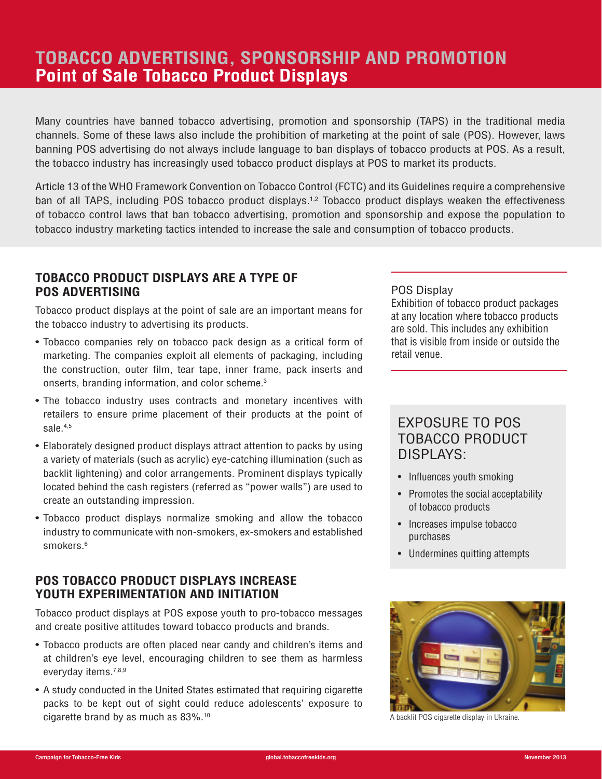# **TOBACCO ADVERTISING, SPONSORSHIP AND PROMOTION Point of Sale Tobacco Product Displays**

Many countries have banned tobacco advertising, promotion and sponsorship (TAPS) in the traditional media channels. Some of these laws also include the prohibition of marketing at the point of sale (POS). However, laws banning POS advertising do not always include language to ban displays of tobacco products at POS. As a result, the tobacco industry has increasingly used tobacco product displays at POS to market its products.

Article 13 of the WHO Framework Convention on Tobacco Control (FCTC) and its Guidelines require a comprehensive ban of all TAPS, including POS tobacco product displays.1,2 Tobacco product displays weaken the effectiveness of tobacco control laws that ban tobacco advertising, promotion and sponsorship and expose the population to tobacco industry marketing tactics intended to increase the sale and consumption of tobacco products.

#### **TOBACCO PRODUCT DISPLAYS ARE A TYPE OF POS ADVERTISING**

Tobacco product displays at the point of sale are an important means for the tobacco industry to advertising its products.

- Tobacco companies rely on tobacco pack design as a critical form of marketing. The companies exploit all elements of packaging, including the construction, outer film, tear tape, inner frame, pack inserts and onserts, branding information, and color scheme.3
- The tobacco industry uses contracts and monetary incentives with retailers to ensure prime placement of their products at the point of sale.<sup>4,5</sup>
- Elaborately designed product displays attract attention to packs by using a variety of materials (such as acrylic) eye-catching illumination (such as backlit lightening) and color arrangements. Prominent displays typically located behind the cash registers (referred as "power walls") are used to create an outstanding impression.
- Tobacco product displays normalize smoking and allow the tobacco industry to communicate with non-smokers, ex-smokers and established smokers.<sup>6</sup>

# **POS TOBACCO PRODUCT DISPLAYS INCREASE YOUTH EXPERIMENTATION AND INITIATION**

Tobacco product displays at POS expose youth to pro-tobacco messages and create positive attitudes toward tobacco products and brands.

- Tobacco products are often placed near candy and children's items and at children's eye level, encouraging children to see them as harmless everyday items.7,8,9
- A study conducted in the United States estimated that requiring cigarette packs to be kept out of sight could reduce adolescents' exposure to cigarette brand by as much as 83%.10

#### POS Display

Exhibition of tobacco product packages at any location where tobacco products are sold. This includes any exhibition that is visible from inside or outside the retail venue.

# EXPOSURE TO POS TOBACCO PRODUCT DISPLAYS:

- Influences youth smoking
- Promotes the social acceptability of tobacco products
- Increases impulse tobacco purchases
- Undermines quitting attempts



A backlit POS cigarette display in Ukraine.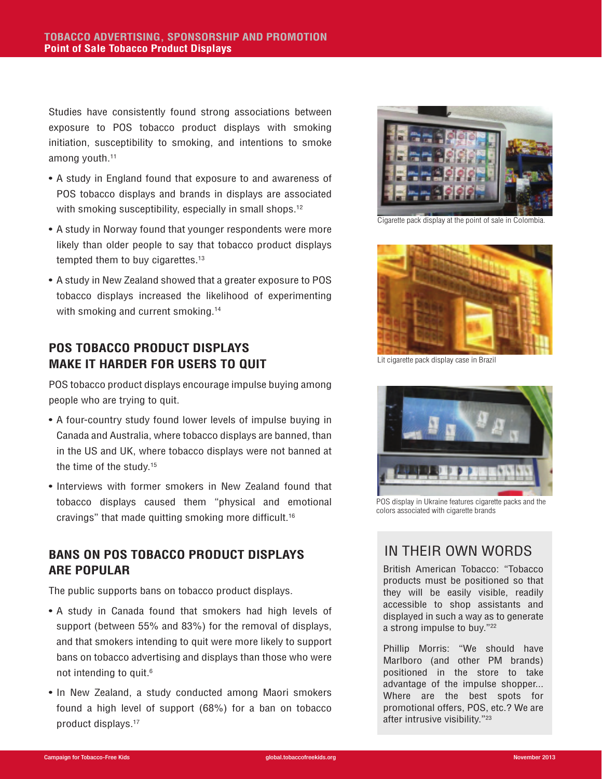Studies have consistently found strong associations between exposure to POS tobacco product displays with smoking initiation, susceptibility to smoking, and intentions to smoke among youth.<sup>11</sup>

- A study in England found that exposure to and awareness of POS tobacco displays and brands in displays are associated with smoking susceptibility, especially in small shops.<sup>12</sup>
- A study in Norway found that younger respondents were more likely than older people to say that tobacco product displays tempted them to buy cigarettes.<sup>13</sup>
- A study in New Zealand showed that a greater exposure to POS tobacco displays increased the likelihood of experimenting with smoking and current smoking.<sup>14</sup>

# **POS TOBACCO PRODUCT DISPLAYS MAKE IT HARDER FOR USERS TO QUIT**

POS tobacco product displays encourage impulse buying among people who are trying to quit.

- A four-country study found lower levels of impulse buying in Canada and Australia, where tobacco displays are banned, than in the US and UK, where tobacco displays were not banned at the time of the study.15
- Interviews with former smokers in New Zealand found that tobacco displays caused them "physical and emotional cravings" that made quitting smoking more difficult.16

# **BANS ON POS TOBACCO PRODUCT DISPLAYS ARE POPULAR**

The public supports bans on tobacco product displays.

- A study in Canada found that smokers had high levels of support (between 55% and 83%) for the removal of displays, and that smokers intending to quit were more likely to support bans on tobacco advertising and displays than those who were not intending to quit.<sup>6</sup>
- In New Zealand, a study conducted among Maori smokers found a high level of support (68%) for a ban on tobacco product displays.17



Cigarette pack display at the point of sale in Colombia.



Lit cigarette pack display case in Brazil



POS display in Ukraine features cigarette packs and the colors associated with cigarette brands

# IN THEIR OWN WORDS

British American Tobacco: "Tobacco products must be positioned so that they will be easily visible, readily accessible to shop assistants and displayed in such a way as to generate a strong impulse to buy."22

Phillip Morris: "We should have Marlboro (and other PM brands) positioned in the store to take advantage of the impulse shopper... Where are the best spots for promotional offers, POS, etc.? We are after intrusive visibility."23